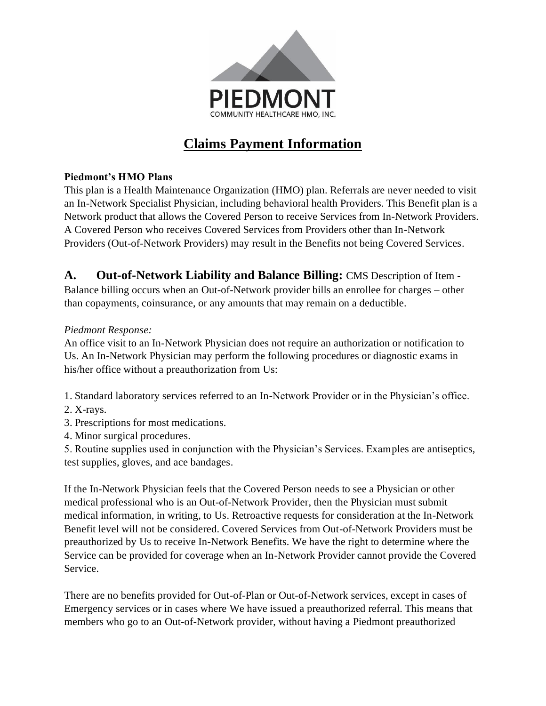

# **Claims Payment Information**

### **Piedmont's HMO Plans**

This plan is a Health Maintenance Organization (HMO) plan. Referrals are never needed to visit an In-Network Specialist Physician, including behavioral health Providers. This Benefit plan is a Network product that allows the Covered Person to receive Services from In-Network Providers. A Covered Person who receives Covered Services from Providers other than In-Network Providers (Out-of-Network Providers) may result in the Benefits not being Covered Services.

**A. Out-of-Network Liability and Balance Billing:** CMS Description of Item - Balance billing occurs when an Out-of-Network provider bills an enrollee for charges – other than copayments, coinsurance, or any amounts that may remain on a deductible.

### *Piedmont Response:*

An office visit to an In-Network Physician does not require an authorization or notification to Us. An In-Network Physician may perform the following procedures or diagnostic exams in his/her office without a preauthorization from Us:

1. Standard laboratory services referred to an In-Network Provider or in the Physician's office.

- 2. X-rays.
- 3. Prescriptions for most medications.
- 4. Minor surgical procedures.

5. Routine supplies used in conjunction with the Physician's Services. Examples are antiseptics, test supplies, gloves, and ace bandages.

If the In-Network Physician feels that the Covered Person needs to see a Physician or other medical professional who is an Out-of-Network Provider, then the Physician must submit medical information, in writing, to Us. Retroactive requests for consideration at the In-Network Benefit level will not be considered. Covered Services from Out-of-Network Providers must be preauthorized by Us to receive In-Network Benefits. We have the right to determine where the Service can be provided for coverage when an In-Network Provider cannot provide the Covered Service.

There are no benefits provided for Out-of-Plan or Out-of-Network services, except in cases of Emergency services or in cases where We have issued a preauthorized referral. This means that members who go to an Out-of-Network provider, without having a Piedmont preauthorized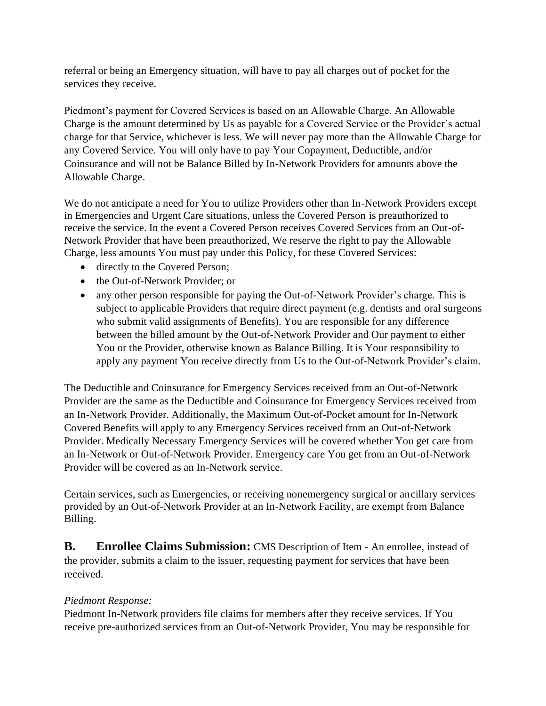referral or being an Emergency situation, will have to pay all charges out of pocket for the services they receive.

Piedmont's payment for Covered Services is based on an Allowable Charge. An Allowable Charge is the amount determined by Us as payable for a Covered Service or the Provider's actual charge for that Service, whichever is less. We will never pay more than the Allowable Charge for any Covered Service. You will only have to pay Your Copayment, Deductible, and/or Coinsurance and will not be Balance Billed by In-Network Providers for amounts above the Allowable Charge.

We do not anticipate a need for You to utilize Providers other than In-Network Providers except in Emergencies and Urgent Care situations, unless the Covered Person is preauthorized to receive the service. In the event a Covered Person receives Covered Services from an Out-of-Network Provider that have been preauthorized, We reserve the right to pay the Allowable Charge, less amounts You must pay under this Policy, for these Covered Services:

- directly to the Covered Person;
- the Out-of-Network Provider: or
- any other person responsible for paying the Out-of-Network Provider's charge. This is subject to applicable Providers that require direct payment (e.g. dentists and oral surgeons who submit valid assignments of Benefits). You are responsible for any difference between the billed amount by the Out-of-Network Provider and Our payment to either You or the Provider, otherwise known as Balance Billing. It is Your responsibility to apply any payment You receive directly from Us to the Out-of-Network Provider's claim.

The Deductible and Coinsurance for Emergency Services received from an Out-of-Network Provider are the same as the Deductible and Coinsurance for Emergency Services received from an In-Network Provider. Additionally, the Maximum Out-of-Pocket amount for In-Network Covered Benefits will apply to any Emergency Services received from an Out-of-Network Provider. Medically Necessary Emergency Services will be covered whether You get care from an In-Network or Out-of-Network Provider. Emergency care You get from an Out-of-Network Provider will be covered as an In-Network service.

Certain services, such as Emergencies, or receiving nonemergency surgical or ancillary services provided by an Out-of-Network Provider at an In-Network Facility, are exempt from Balance Billing.

**B. Enrollee Claims Submission:** CMS Description of Item - An enrollee, instead of the provider, submits a claim to the issuer, requesting payment for services that have been received.

### *Piedmont Response:*

Piedmont In-Network providers file claims for members after they receive services. If You receive pre-authorized services from an Out-of-Network Provider, You may be responsible for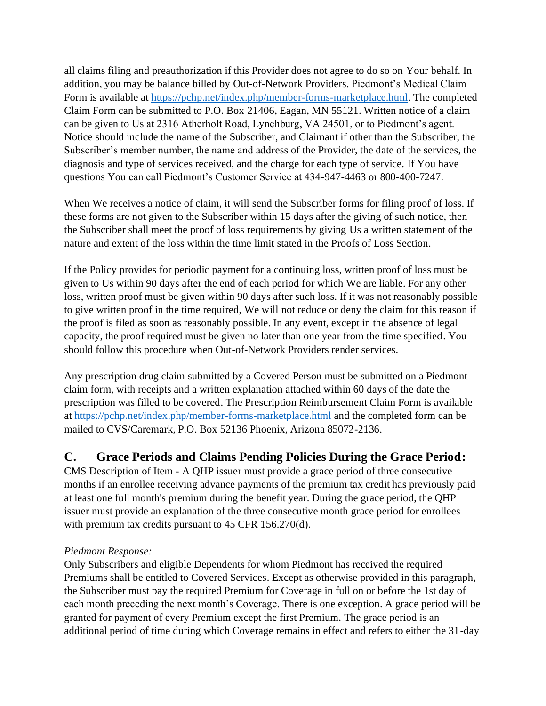all claims filing and preauthorization if this Provider does not agree to do so on Your behalf. In addition, you may be balance billed by Out-of-Network Providers. Piedmont's Medical Claim Form is available at [https://pchp.net/index.php/member-forms-marketplace.html.](https://pchp.net/index.php/member-forms-marketplace.html) The completed Claim Form can be submitted to P.O. Box 21406, Eagan, MN 55121. Written notice of a claim can be given to Us at 2316 Atherholt Road, Lynchburg, VA 24501, or to Piedmont's agent. Notice should include the name of the Subscriber, and Claimant if other than the Subscriber, the Subscriber's member number, the name and address of the Provider, the date of the services, the diagnosis and type of services received, and the charge for each type of service. If You have questions You can call Piedmont's Customer Service at 434-947-4463 or 800-400-7247.

When We receives a notice of claim, it will send the Subscriber forms for filing proof of loss. If these forms are not given to the Subscriber within 15 days after the giving of such notice, then the Subscriber shall meet the proof of loss requirements by giving Us a written statement of the nature and extent of the loss within the time limit stated in the Proofs of Loss Section.

If the Policy provides for periodic payment for a continuing loss, written proof of loss must be given to Us within 90 days after the end of each period for which We are liable. For any other loss, written proof must be given within 90 days after such loss. If it was not reasonably possible to give written proof in the time required, We will not reduce or deny the claim for this reason if the proof is filed as soon as reasonably possible. In any event, except in the absence of legal capacity, the proof required must be given no later than one year from the time specified. You should follow this procedure when Out-of-Network Providers render services.

Any prescription drug claim submitted by a Covered Person must be submitted on a Piedmont claim form, with receipts and a written explanation attached within 60 days of the date the prescription was filled to be covered. The [Prescription Reimbursement Claim Form](https://pchp.net/index.php/marketplace-docman/2019-marketplace-files/2019-marketplace-misc/3016-prescription-reimbursement-claim-form.html) is available at<https://pchp.net/index.php/member-forms-marketplace.html> and the completed form can be mailed to CVS/Caremark, P.O. Box 52136 Phoenix, Arizona 85072-2136.

# **C. Grace Periods and Claims Pending Policies During the Grace Period:**

CMS Description of Item - A QHP issuer must provide a grace period of three consecutive months if an enrollee receiving advance payments of the premium tax credit has previously paid at least one full month's premium during the benefit year. During the grace period, the QHP issuer must provide an explanation of the three consecutive month grace period for enrollees with premium tax credits pursuant to 45 CFR 156.270(d).

### *Piedmont Response:*

Only Subscribers and eligible Dependents for whom Piedmont has received the required Premiums shall be entitled to Covered Services. Except as otherwise provided in this paragraph, the Subscriber must pay the required Premium for Coverage in full on or before the 1st day of each month preceding the next month's Coverage. There is one exception. A grace period will be granted for payment of every Premium except the first Premium. The grace period is an additional period of time during which Coverage remains in effect and refers to either the 31-day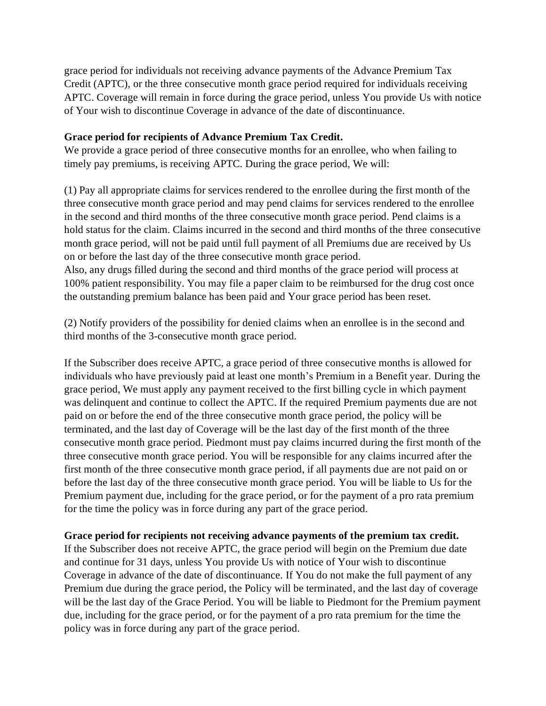grace period for individuals not receiving advance payments of the Advance Premium Tax Credit (APTC), or the three consecutive month grace period required for individuals receiving APTC. Coverage will remain in force during the grace period, unless You provide Us with notice of Your wish to discontinue Coverage in advance of the date of discontinuance.

#### **Grace period for recipients of Advance Premium Tax Credit.**

We provide a grace period of three consecutive months for an enrollee, who when failing to timely pay premiums, is receiving APTC. During the grace period, We will:

(1) Pay all appropriate claims for services rendered to the enrollee during the first month of the three consecutive month grace period and may pend claims for services rendered to the enrollee in the second and third months of the three consecutive month grace period. Pend claims is a hold status for the claim. Claims incurred in the second and third months of the three consecutive month grace period, will not be paid until full payment of all Premiums due are received by Us on or before the last day of the three consecutive month grace period.

Also, any drugs filled during the second and third months of the grace period will process at 100% patient responsibility. You may file a paper claim to be reimbursed for the drug cost once the outstanding premium balance has been paid and Your grace period has been reset.

(2) Notify providers of the possibility for denied claims when an enrollee is in the second and third months of the 3-consecutive month grace period.

If the Subscriber does receive APTC, a grace period of three consecutive months is allowed for individuals who have previously paid at least one month's Premium in a Benefit year. During the grace period, We must apply any payment received to the first billing cycle in which payment was delinquent and continue to collect the APTC. If the required Premium payments due are not paid on or before the end of the three consecutive month grace period, the policy will be terminated, and the last day of Coverage will be the last day of the first month of the three consecutive month grace period. Piedmont must pay claims incurred during the first month of the three consecutive month grace period. You will be responsible for any claims incurred after the first month of the three consecutive month grace period, if all payments due are not paid on or before the last day of the three consecutive month grace period. You will be liable to Us for the Premium payment due, including for the grace period, or for the payment of a pro rata premium for the time the policy was in force during any part of the grace period.

#### **Grace period for recipients not receiving advance payments of the premium tax credit.**

If the Subscriber does not receive APTC, the grace period will begin on the Premium due date and continue for 31 days, unless You provide Us with notice of Your wish to discontinue Coverage in advance of the date of discontinuance. If You do not make the full payment of any Premium due during the grace period, the Policy will be terminated, and the last day of coverage will be the last day of the Grace Period. You will be liable to Piedmont for the Premium payment due, including for the grace period, or for the payment of a pro rata premium for the time the policy was in force during any part of the grace period.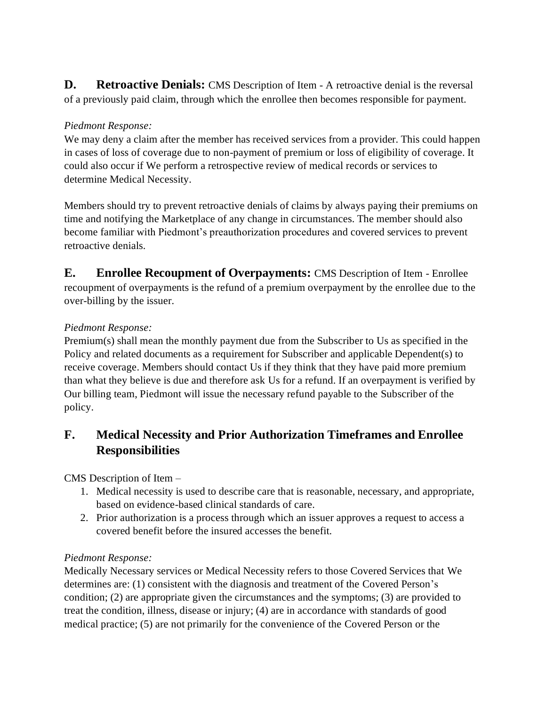**D. Retroactive Denials:** CMS Description of Item - A retroactive denial is the reversal of a previously paid claim, through which the enrollee then becomes responsible for payment.

### *Piedmont Response:*

We may deny a claim after the member has received services from a provider. This could happen in cases of loss of coverage due to non-payment of premium or loss of eligibility of coverage. It could also occur if We perform a retrospective review of medical records or services to determine Medical Necessity.

Members should try to prevent retroactive denials of claims by always paying their premiums on time and notifying the Marketplace of any change in circumstances. The member should also become familiar with Piedmont's preauthorization procedures and covered services to prevent retroactive denials.

**E. Enrollee Recoupment of Overpayments:** CMS Description of Item - Enrollee recoupment of overpayments is the refund of a premium overpayment by the enrollee due to the over-billing by the issuer.

### *Piedmont Response:*

Premium(s) shall mean the monthly payment due from the Subscriber to Us as specified in the Policy and related documents as a requirement for Subscriber and applicable Dependent(s) to receive coverage. Members should contact Us if they think that they have paid more premium than what they believe is due and therefore ask Us for a refund. If an overpayment is verified by Our billing team, Piedmont will issue the necessary refund payable to the Subscriber of the policy.

# **F. Medical Necessity and Prior Authorization Timeframes and Enrollee Responsibilities**

CMS Description of Item –

- 1. Medical necessity is used to describe care that is reasonable, necessary, and appropriate, based on evidence-based clinical standards of care.
- 2. Prior authorization is a process through which an issuer approves a request to access a covered benefit before the insured accesses the benefit.

### *Piedmont Response:*

Medically Necessary services or Medical Necessity refers to those Covered Services that We determines are: (1) consistent with the diagnosis and treatment of the Covered Person's condition; (2) are appropriate given the circumstances and the symptoms; (3) are provided to treat the condition, illness, disease or injury; (4) are in accordance with standards of good medical practice; (5) are not primarily for the convenience of the Covered Person or the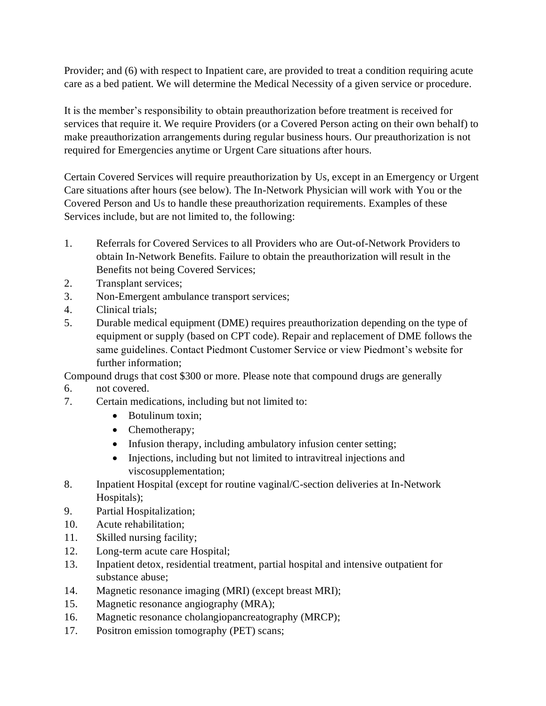Provider; and (6) with respect to Inpatient care, are provided to treat a condition requiring acute care as a bed patient. We will determine the Medical Necessity of a given service or procedure.

It is the member's responsibility to obtain preauthorization before treatment is received for services that require it. We require Providers (or a Covered Person acting on their own behalf) to make preauthorization arrangements during regular business hours. Our preauthorization is not required for Emergencies anytime or Urgent Care situations after hours.

Certain Covered Services will require preauthorization by Us, except in an Emergency or Urgent Care situations after hours (see below). The In-Network Physician will work with You or the Covered Person and Us to handle these preauthorization requirements. Examples of these Services include, but are not limited to, the following:

- 1. Referrals for Covered Services to all Providers who are Out-of-Network Providers to obtain In-Network Benefits. Failure to obtain the preauthorization will result in the Benefits not being Covered Services;
- 2. Transplant services;
- 3. Non-Emergent ambulance transport services;
- 4. Clinical trials;
- 5. Durable medical equipment (DME) requires preauthorization depending on the type of equipment or supply (based on CPT code). Repair and replacement of DME follows the same guidelines. Contact Piedmont Customer Service or view Piedmont's website for further information;

Compound drugs that cost \$300 or more. Please note that compound drugs are generally

- 6. not covered.
- 7. Certain medications, including but not limited to:
	- Botulinum toxin:
	- Chemotherapy;
	- Infusion therapy, including ambulatory infusion center setting;
	- Injections, including but not limited to intravitreal injections and viscosupplementation;
- 8. Inpatient Hospital (except for routine vaginal/C-section deliveries at In-Network Hospitals);
- 9. Partial Hospitalization;
- 10. Acute rehabilitation;
- 11. Skilled nursing facility;
- 12. Long-term acute care Hospital;
- 13. Inpatient detox, residential treatment, partial hospital and intensive outpatient for substance abuse;
- 14. Magnetic resonance imaging (MRI) (except breast MRI);
- 15. Magnetic resonance angiography (MRA);
- 16. Magnetic resonance cholangiopancreatography (MRCP);
- 17. Positron emission tomography (PET) scans;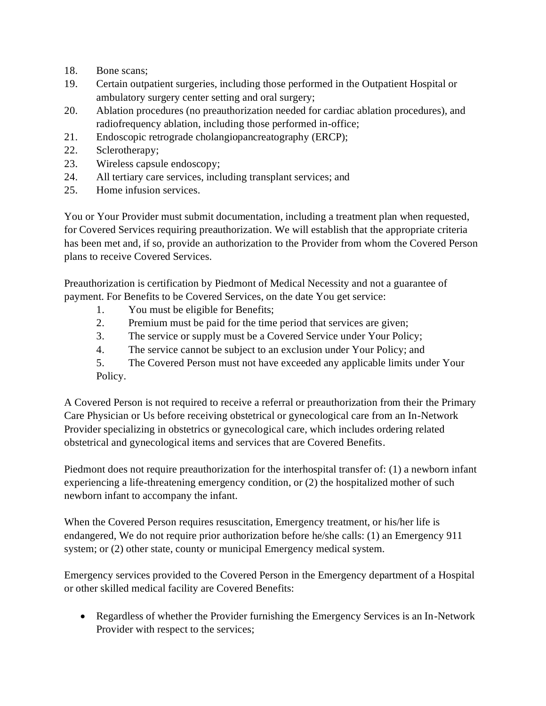- 18. Bone scans;
- 19. Certain outpatient surgeries, including those performed in the Outpatient Hospital or ambulatory surgery center setting and oral surgery;
- 20. Ablation procedures (no preauthorization needed for cardiac ablation procedures), and radiofrequency ablation, including those performed in-office;
- 21. Endoscopic retrograde cholangiopancreatography (ERCP);
- 22. Sclerotherapy;
- 23. Wireless capsule endoscopy;
- 24. All tertiary care services, including transplant services; and
- 25. Home infusion services.

You or Your Provider must submit documentation, including a treatment plan when requested, for Covered Services requiring preauthorization. We will establish that the appropriate criteria has been met and, if so, provide an authorization to the Provider from whom the Covered Person plans to receive Covered Services.

Preauthorization is certification by Piedmont of Medical Necessity and not a guarantee of payment. For Benefits to be Covered Services, on the date You get service:

- 1. You must be eligible for Benefits;
- 2. Premium must be paid for the time period that services are given;
- 3. The service or supply must be a Covered Service under Your Policy;
- 4. The service cannot be subject to an exclusion under Your Policy; and
- 5. The Covered Person must not have exceeded any applicable limits under Your Policy.

A Covered Person is not required to receive a referral or preauthorization from their the Primary Care Physician or Us before receiving obstetrical or gynecological care from an In-Network Provider specializing in obstetrics or gynecological care, which includes ordering related obstetrical and gynecological items and services that are Covered Benefits.

Piedmont does not require preauthorization for the interhospital transfer of: (1) a newborn infant experiencing a life-threatening emergency condition, or (2) the hospitalized mother of such newborn infant to accompany the infant.

When the Covered Person requires resuscitation, Emergency treatment, or his/her life is endangered, We do not require prior authorization before he/she calls: (1) an Emergency 911 system; or (2) other state, county or municipal Emergency medical system.

Emergency services provided to the Covered Person in the Emergency department of a Hospital or other skilled medical facility are Covered Benefits:

• Regardless of whether the Provider furnishing the Emergency Services is an In-Network Provider with respect to the services;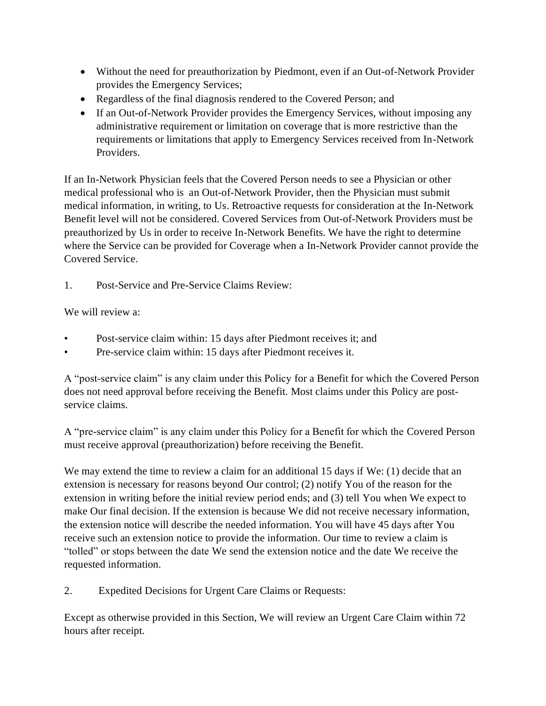- Without the need for preauthorization by Piedmont, even if an Out-of-Network Provider provides the Emergency Services;
- Regardless of the final diagnosis rendered to the Covered Person; and
- If an Out-of-Network Provider provides the Emergency Services, without imposing any administrative requirement or limitation on coverage that is more restrictive than the requirements or limitations that apply to Emergency Services received from In-Network Providers.

If an In-Network Physician feels that the Covered Person needs to see a Physician or other medical professional who is an Out-of-Network Provider, then the Physician must submit medical information, in writing, to Us. Retroactive requests for consideration at the In-Network Benefit level will not be considered. Covered Services from Out-of-Network Providers must be preauthorized by Us in order to receive In-Network Benefits. We have the right to determine where the Service can be provided for Coverage when a In-Network Provider cannot provide the Covered Service.

1. Post-Service and Pre-Service Claims Review:

We will review a:

- Post-service claim within: 15 days after Piedmont receives it; and
- Pre-service claim within: 15 days after Piedmont receives it.

A "post-service claim" is any claim under this Policy for a Benefit for which the Covered Person does not need approval before receiving the Benefit. Most claims under this Policy are postservice claims.

A "pre-service claim" is any claim under this Policy for a Benefit for which the Covered Person must receive approval (preauthorization) before receiving the Benefit.

We may extend the time to review a claim for an additional 15 days if We: (1) decide that an extension is necessary for reasons beyond Our control; (2) notify You of the reason for the extension in writing before the initial review period ends; and (3) tell You when We expect to make Our final decision. If the extension is because We did not receive necessary information, the extension notice will describe the needed information. You will have 45 days after You receive such an extension notice to provide the information. Our time to review a claim is "tolled" or stops between the date We send the extension notice and the date We receive the requested information.

2. Expedited Decisions for Urgent Care Claims or Requests:

Except as otherwise provided in this Section, We will review an Urgent Care Claim within 72 hours after receipt.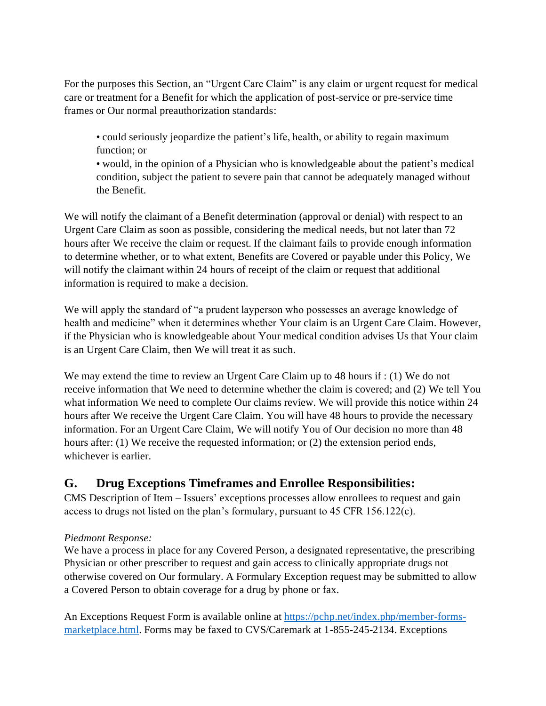For the purposes this Section, an "Urgent Care Claim" is any claim or urgent request for medical care or treatment for a Benefit for which the application of post-service or pre-service time frames or Our normal preauthorization standards:

• could seriously jeopardize the patient's life, health, or ability to regain maximum function; or

• would, in the opinion of a Physician who is knowledgeable about the patient's medical condition, subject the patient to severe pain that cannot be adequately managed without the Benefit.

We will notify the claimant of a Benefit determination (approval or denial) with respect to an Urgent Care Claim as soon as possible, considering the medical needs, but not later than 72 hours after We receive the claim or request. If the claimant fails to provide enough information to determine whether, or to what extent, Benefits are Covered or payable under this Policy, We will notify the claimant within 24 hours of receipt of the claim or request that additional information is required to make a decision.

We will apply the standard of "a prudent layperson who possesses an average knowledge of health and medicine" when it determines whether Your claim is an Urgent Care Claim. However, if the Physician who is knowledgeable about Your medical condition advises Us that Your claim is an Urgent Care Claim, then We will treat it as such.

We may extend the time to review an Urgent Care Claim up to 48 hours if : (1) We do not receive information that We need to determine whether the claim is covered; and (2) We tell You what information We need to complete Our claims review. We will provide this notice within 24 hours after We receive the Urgent Care Claim. You will have 48 hours to provide the necessary information. For an Urgent Care Claim, We will notify You of Our decision no more than 48 hours after: (1) We receive the requested information; or (2) the extension period ends, whichever is earlier.

## **G. Drug Exceptions Timeframes and Enrollee Responsibilities:**

CMS Description of Item – Issuers' exceptions processes allow enrollees to request and gain access to drugs not listed on the plan's formulary, pursuant to 45 CFR 156.122(c).

### *Piedmont Response:*

We have a process in place for any Covered Person, a designated representative, the prescribing Physician or other prescriber to request and gain access to clinically appropriate drugs not otherwise covered on Our formulary. A Formulary Exception request may be submitted to allow a Covered Person to obtain coverage for a drug by phone or fax.

An Exceptions Request Form is available online at [https://pchp.net/index.php/member-forms](https://pchp.net/index.php/member-forms-marketplace.html)[marketplace.html.](https://pchp.net/index.php/member-forms-marketplace.html) Forms may be faxed to CVS/Caremark at 1-855-245-2134. Exceptions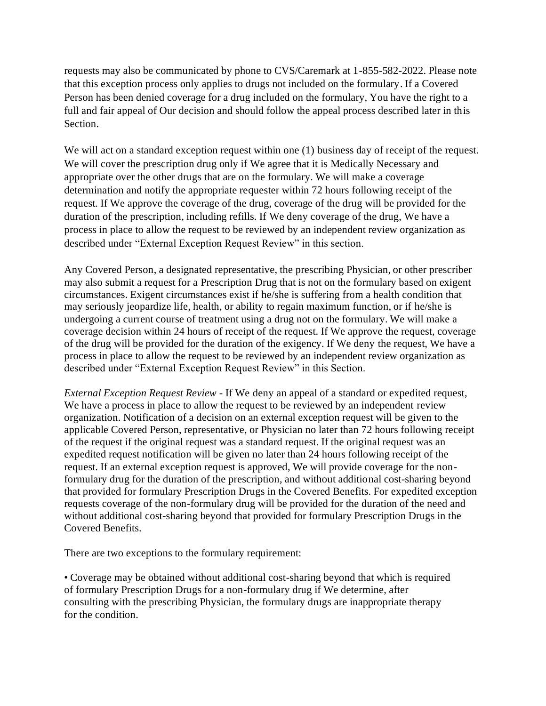requests may also be communicated by phone to CVS/Caremark at 1-855-582-2022. Please note that this exception process only applies to drugs not included on the formulary. If a Covered Person has been denied coverage for a drug included on the formulary, You have the right to a full and fair appeal of Our decision and should follow the appeal process described later in this Section.

We will act on a standard exception request within one (1) business day of receipt of the request. We will cover the prescription drug only if We agree that it is Medically Necessary and appropriate over the other drugs that are on the formulary. We will make a coverage determination and notify the appropriate requester within 72 hours following receipt of the request. If We approve the coverage of the drug, coverage of the drug will be provided for the duration of the prescription, including refills. If We deny coverage of the drug, We have a process in place to allow the request to be reviewed by an independent review organization as described under "External Exception Request Review" in this section.

Any Covered Person, a designated representative, the prescribing Physician, or other prescriber may also submit a request for a Prescription Drug that is not on the formulary based on exigent circumstances. Exigent circumstances exist if he/she is suffering from a health condition that may seriously jeopardize life, health, or ability to regain maximum function, or if he/she is undergoing a current course of treatment using a drug not on the formulary. We will make a coverage decision within 24 hours of receipt of the request. If We approve the request, coverage of the drug will be provided for the duration of the exigency. If We deny the request, We have a process in place to allow the request to be reviewed by an independent review organization as described under "External Exception Request Review" in this Section.

*External Exception Request Review* - If We deny an appeal of a standard or expedited request, We have a process in place to allow the request to be reviewed by an independent review organization. Notification of a decision on an external exception request will be given to the applicable Covered Person, representative, or Physician no later than 72 hours following receipt of the request if the original request was a standard request. If the original request was an expedited request notification will be given no later than 24 hours following receipt of the request. If an external exception request is approved, We will provide coverage for the nonformulary drug for the duration of the prescription, and without additional cost-sharing beyond that provided for formulary Prescription Drugs in the Covered Benefits. For expedited exception requests coverage of the non-formulary drug will be provided for the duration of the need and without additional cost-sharing beyond that provided for formulary Prescription Drugs in the Covered Benefits.

There are two exceptions to the formulary requirement:

• Coverage may be obtained without additional cost-sharing beyond that which is required of formulary Prescription Drugs for a non-formulary drug if We determine, after consulting with the prescribing Physician, the formulary drugs are inappropriate therapy for the condition.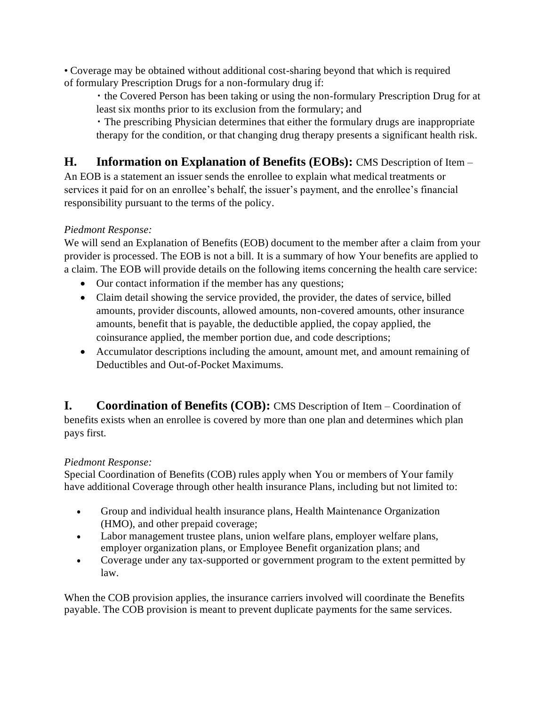• Coverage may be obtained without additional cost-sharing beyond that which is required of formulary Prescription Drugs for a non-formulary drug if:

▪ the Covered Person has been taking or using the non-formulary Prescription Drug for at least six months prior to its exclusion from the formulary; and

▪ The prescribing Physician determines that either the formulary drugs are inappropriate therapy for the condition, or that changing drug therapy presents a significant health risk.

# **H. Information on Explanation of Benefits (EOBs):** CMS Description of Item –

An EOB is a statement an issuer sends the enrollee to explain what medical treatments or services it paid for on an enrollee's behalf, the issuer's payment, and the enrollee's financial responsibility pursuant to the terms of the policy.

### *Piedmont Response:*

We will send an Explanation of Benefits (EOB) document to the member after a claim from your provider is processed. The EOB is not a bill. It is a summary of how Your benefits are applied to a claim. The EOB will provide details on the following items concerning the health care service:

- Our contact information if the member has any questions;
- Claim detail showing the service provided, the provider, the dates of service, billed amounts, provider discounts, allowed amounts, non-covered amounts, other insurance amounts, benefit that is payable, the deductible applied, the copay applied, the coinsurance applied, the member portion due, and code descriptions;
- Accumulator descriptions including the amount, amount met, and amount remaining of Deductibles and Out-of-Pocket Maximums.

**I. Coordination of Benefits (COB):** CMS Description of Item – Coordination of benefits exists when an enrollee is covered by more than one plan and determines which plan pays first.

### *Piedmont Response:*

Special Coordination of Benefits (COB) rules apply when You or members of Your family have additional Coverage through other health insurance Plans, including but not limited to:

- Group and individual health insurance plans, Health Maintenance Organization (HMO), and other prepaid coverage;
- Labor management trustee plans, union welfare plans, employer welfare plans, employer organization plans, or Employee Benefit organization plans; and
- Coverage under any tax-supported or government program to the extent permitted by law.

When the COB provision applies, the insurance carriers involved will coordinate the Benefits payable. The COB provision is meant to prevent duplicate payments for the same services.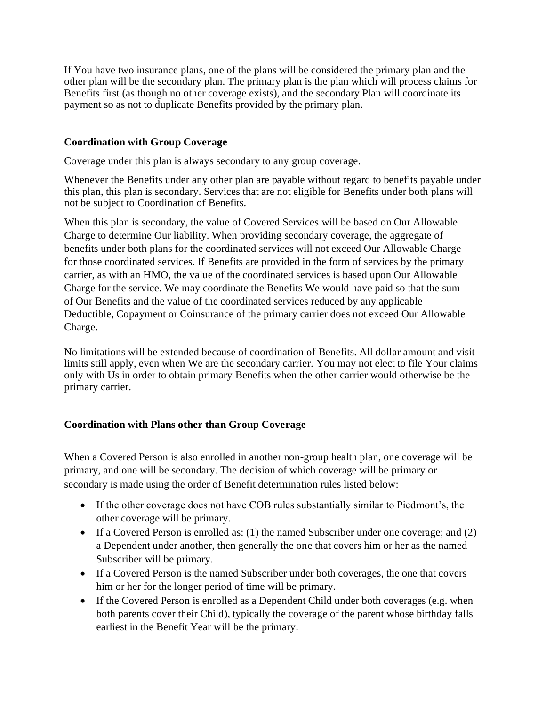If You have two insurance plans, one of the plans will be considered the primary plan and the other plan will be the secondary plan. The primary plan is the plan which will process claims for Benefits first (as though no other coverage exists), and the secondary Plan will coordinate its payment so as not to duplicate Benefits provided by the primary plan.

### **Coordination with Group Coverage**

Coverage under this plan is always secondary to any group coverage.

Whenever the Benefits under any other plan are payable without regard to benefits payable under this plan, this plan is secondary. Services that are not eligible for Benefits under both plans will not be subject to Coordination of Benefits.

When this plan is secondary, the value of Covered Services will be based on Our Allowable Charge to determine Our liability. When providing secondary coverage, the aggregate of benefits under both plans for the coordinated services will not exceed Our Allowable Charge for those coordinated services. If Benefits are provided in the form of services by the primary carrier, as with an HMO, the value of the coordinated services is based upon Our Allowable Charge for the service. We may coordinate the Benefits We would have paid so that the sum of Our Benefits and the value of the coordinated services reduced by any applicable Deductible, Copayment or Coinsurance of the primary carrier does not exceed Our Allowable Charge.

No limitations will be extended because of coordination of Benefits. All dollar amount and visit limits still apply, even when We are the secondary carrier. You may not elect to file Your claims only with Us in order to obtain primary Benefits when the other carrier would otherwise be the primary carrier.

### **Coordination with Plans other than Group Coverage**

When a Covered Person is also enrolled in another non-group health plan, one coverage will be primary, and one will be secondary. The decision of which coverage will be primary or secondary is made using the order of Benefit determination rules listed below:

- If the other coverage does not have COB rules substantially similar to Piedmont's, the other coverage will be primary.
- If a Covered Person is enrolled as: (1) the named Subscriber under one coverage; and (2) a Dependent under another, then generally the one that covers him or her as the named Subscriber will be primary.
- If a Covered Person is the named Subscriber under both coverages, the one that covers him or her for the longer period of time will be primary.
- If the Covered Person is enrolled as a Dependent Child under both coverages (e.g. when both parents cover their Child), typically the coverage of the parent whose birthday falls earliest in the Benefit Year will be the primary.